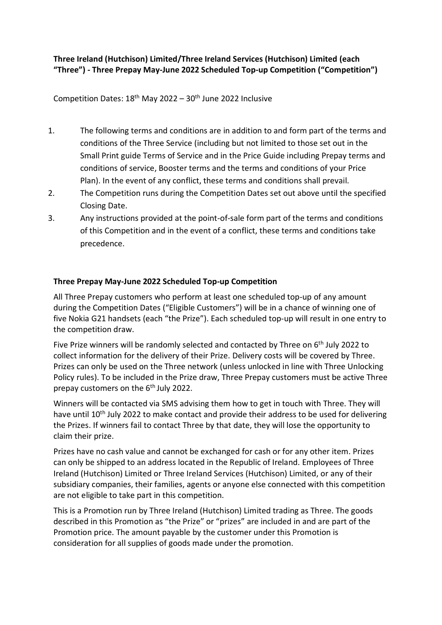## **Three Ireland (Hutchison) Limited/Three Ireland Services (Hutchison) Limited (each "Three") - Three Prepay May-June 2022 Scheduled Top-up Competition ("Competition")**

Competition Dates:  $18<sup>th</sup>$  May 2022 -  $30<sup>th</sup>$  June 2022 Inclusive

- 1. The following terms and conditions are in addition to and form part of the terms and conditions of the Three Service (including but not limited to those set out in the Small Print guide Terms of Service and in the Price Guide including Prepay terms and conditions of service, Booster terms and the terms and conditions of your Price Plan). In the event of any conflict, these terms and conditions shall prevail.
- 2. The Competition runs during the Competition Dates set out above until the specified Closing Date.
- 3. Any instructions provided at the point-of-sale form part of the terms and conditions of this Competition and in the event of a conflict, these terms and conditions take precedence.

## **Three Prepay May-June 2022 Scheduled Top-up Competition**

All Three Prepay customers who perform at least one scheduled top-up of any amount during the Competition Dates ("Eligible Customers") will be in a chance of winning one of five Nokia G21 handsets (each "the Prize"). Each scheduled top-up will result in one entry to the competition draw.

Five Prize winners will be randomly selected and contacted by Three on 6<sup>th</sup> July 2022 to collect information for the delivery of their Prize. Delivery costs will be covered by Three. Prizes can only be used on the Three network (unless unlocked in line with Three Unlocking Policy rules). To be included in the Prize draw, Three Prepay customers must be active Three prepay customers on the 6<sup>th</sup> July 2022.

Winners will be contacted via SMS advising them how to get in touch with Three. They will have until 10<sup>th</sup> July 2022 to make contact and provide their address to be used for delivering the Prizes. If winners fail to contact Three by that date, they will lose the opportunity to claim their prize.

Prizes have no cash value and cannot be exchanged for cash or for any other item. Prizes can only be shipped to an address located in the Republic of Ireland. Employees of Three Ireland (Hutchison) Limited or Three Ireland Services (Hutchison) Limited, or any of their subsidiary companies, their families, agents or anyone else connected with this competition are not eligible to take part in this competition.

This is a Promotion run by Three Ireland (Hutchison) Limited trading as Three. The goods described in this Promotion as "the Prize" or "prizes" are included in and are part of the Promotion price. The amount payable by the customer under this Promotion is consideration for all supplies of goods made under the promotion.